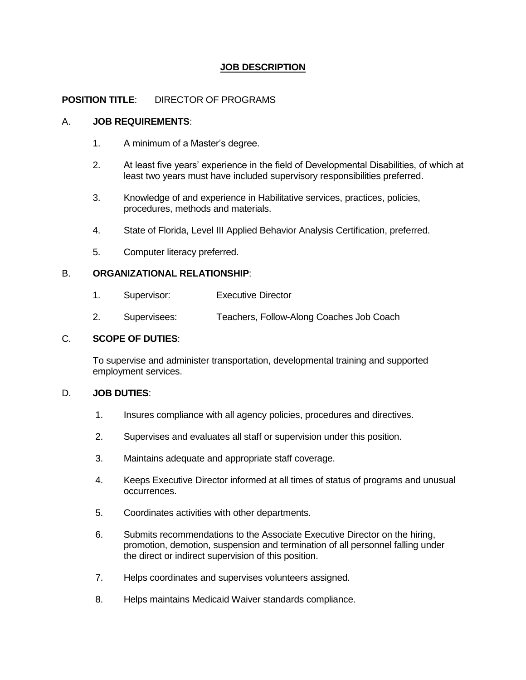# **JOB DESCRIPTION**

## **POSITION TITLE**: DIRECTOR OF PROGRAMS

## A. **JOB REQUIREMENTS**:

- 1. A minimum of a Master's degree.
- 2. At least five years' experience in the field of Developmental Disabilities, of which at least two years must have included supervisory responsibilities preferred.
- 3. Knowledge of and experience in Habilitative services, practices, policies, procedures, methods and materials.
- 4. State of Florida, Level III Applied Behavior Analysis Certification, preferred.
- 5. Computer literacy preferred.

## B. **ORGANIZATIONAL RELATIONSHIP**:

- 1. Supervisor: Executive Director
- 2. Supervisees: Teachers, Follow-Along Coaches Job Coach

#### C. **SCOPE OF DUTIES**:

To supervise and administer transportation, developmental training and supported employment services.

## D. **JOB DUTIES**:

- 1. Insures compliance with all agency policies, procedures and directives.
- 2. Supervises and evaluates all staff or supervision under this position.
- 3. Maintains adequate and appropriate staff coverage.
- 4. Keeps Executive Director informed at all times of status of programs and unusual occurrences.
- 5. Coordinates activities with other departments.
- 6. Submits recommendations to the Associate Executive Director on the hiring, promotion, demotion, suspension and termination of all personnel falling under the direct or indirect supervision of this position.
- 7. Helps coordinates and supervises volunteers assigned.
- 8. Helps maintains Medicaid Waiver standards compliance.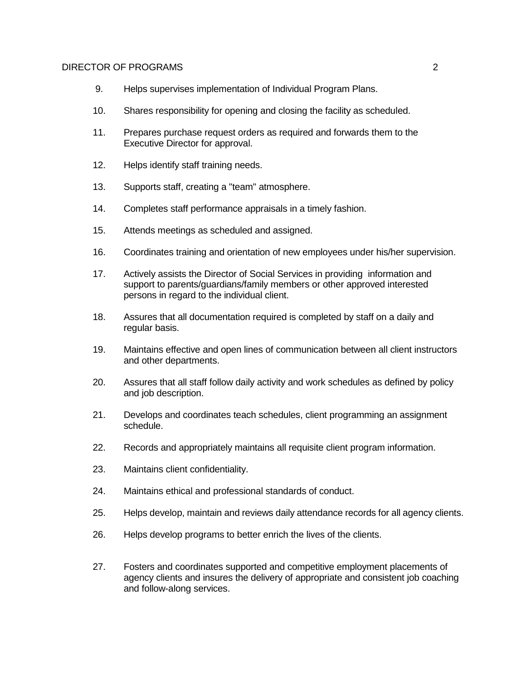#### DIRECTOR OF PROGRAMS 2

- 9. Helps supervises implementation of Individual Program Plans.
- 10. Shares responsibility for opening and closing the facility as scheduled.
- 11. Prepares purchase request orders as required and forwards them to the Executive Director for approval.
- 12. Helps identify staff training needs.
- 13. Supports staff, creating a "team" atmosphere.
- 14. Completes staff performance appraisals in a timely fashion.
- 15. Attends meetings as scheduled and assigned.
- 16. Coordinates training and orientation of new employees under his/her supervision.
- 17. Actively assists the Director of Social Services in providing information and support to parents/guardians/family members or other approved interested persons in regard to the individual client.
- 18. Assures that all documentation required is completed by staff on a daily and regular basis.
- 19. Maintains effective and open lines of communication between all client instructors and other departments.
- 20. Assures that all staff follow daily activity and work schedules as defined by policy and job description.
- 21. Develops and coordinates teach schedules, client programming an assignment schedule.
- 22. Records and appropriately maintains all requisite client program information.
- 23. Maintains client confidentiality.
- 24. Maintains ethical and professional standards of conduct.
- 25. Helps develop, maintain and reviews daily attendance records for all agency clients.
- 26. Helps develop programs to better enrich the lives of the clients.
- 27. Fosters and coordinates supported and competitive employment placements of agency clients and insures the delivery of appropriate and consistent job coaching and follow-along services.